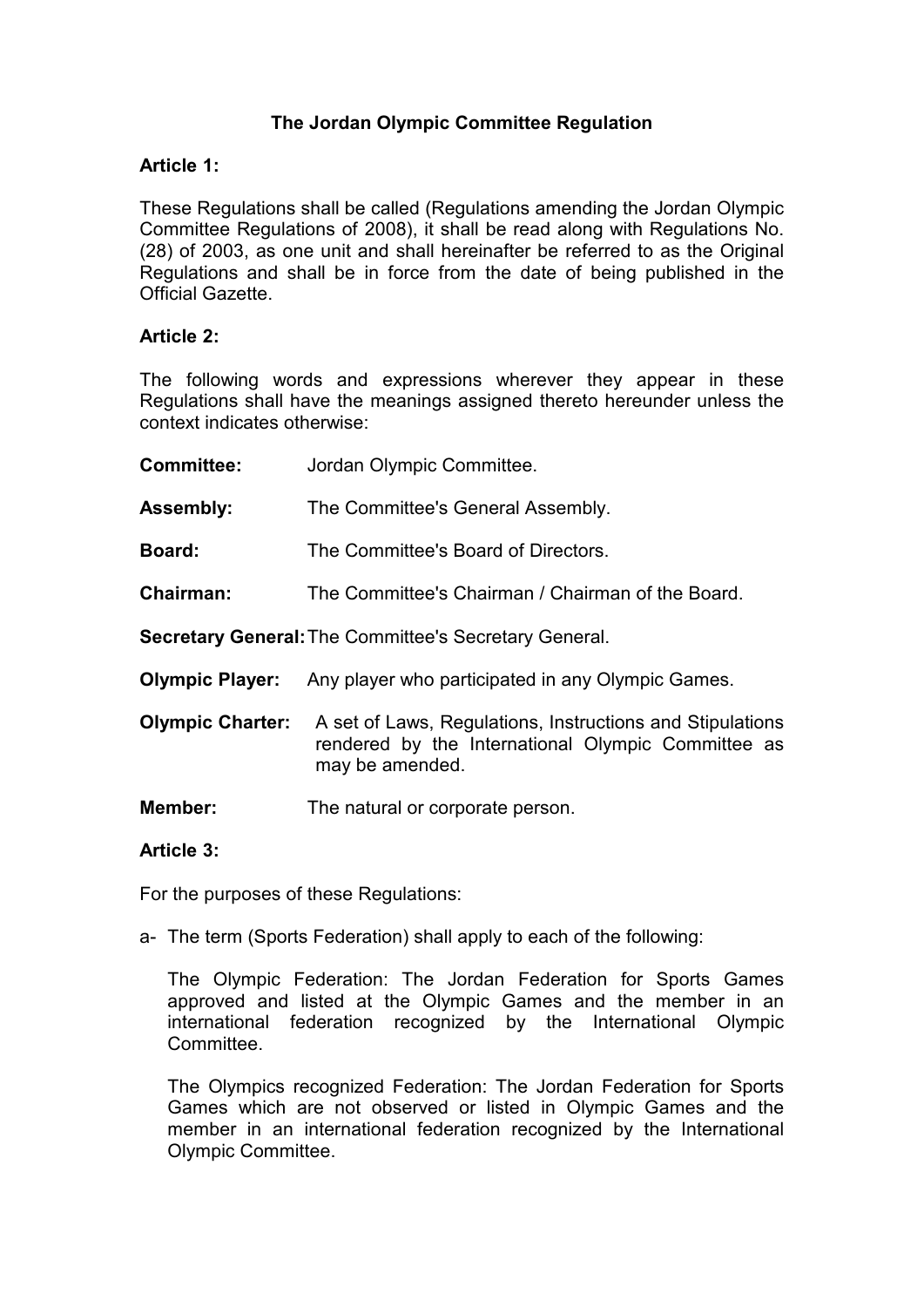# **The Jordan Olympic Committee Regulation**

### **Article 1:**

These Regulations shall be called (Regulations amending the Jordan Olympic Committee Regulations of 2008), it shall be read along with Regulations No. (28) of 2003, as one unit and shall hereinafter be referred to as the Original Regulations and shall be in force from the date of being published in the Official Gazette.

### **Article 2:**

The following words and expressions wherever they appear in these Regulations shall have the meanings assigned thereto hereunder unless the context indicates otherwise:

| <b>Committee:</b>                                            | Jordan Olympic Committee.                                                                                                          |
|--------------------------------------------------------------|------------------------------------------------------------------------------------------------------------------------------------|
| <b>Assembly:</b>                                             | The Committee's General Assembly.                                                                                                  |
| <b>Board:</b>                                                | The Committee's Board of Directors.                                                                                                |
| Chairman:                                                    | The Committee's Chairman / Chairman of the Board.                                                                                  |
| <b>Secretary General: The Committee's Secretary General.</b> |                                                                                                                                    |
|                                                              | <b>Olympic Player:</b> Any player who participated in any Olympic Games.                                                           |
| <b>Olympic Charter:</b>                                      | A set of Laws, Regulations, Instructions and Stipulations<br>rendered by the International Olympic Committee as<br>may be amended. |
| Member:                                                      | The natural or corporate person.                                                                                                   |

### **Article 3:**

For the purposes of these Regulations:

a- The term (Sports Federation) shall apply to each of the following:

 The Olympic Federation: The Jordan Federation for Sports Games approved and listed at the Olympic Games and the member in an international federation recognized by the International Olympic **Committee.** 

 The Olympics recognized Federation: The Jordan Federation for Sports Games which are not observed or listed in Olympic Games and the member in an international federation recognized by the International Olympic Committee.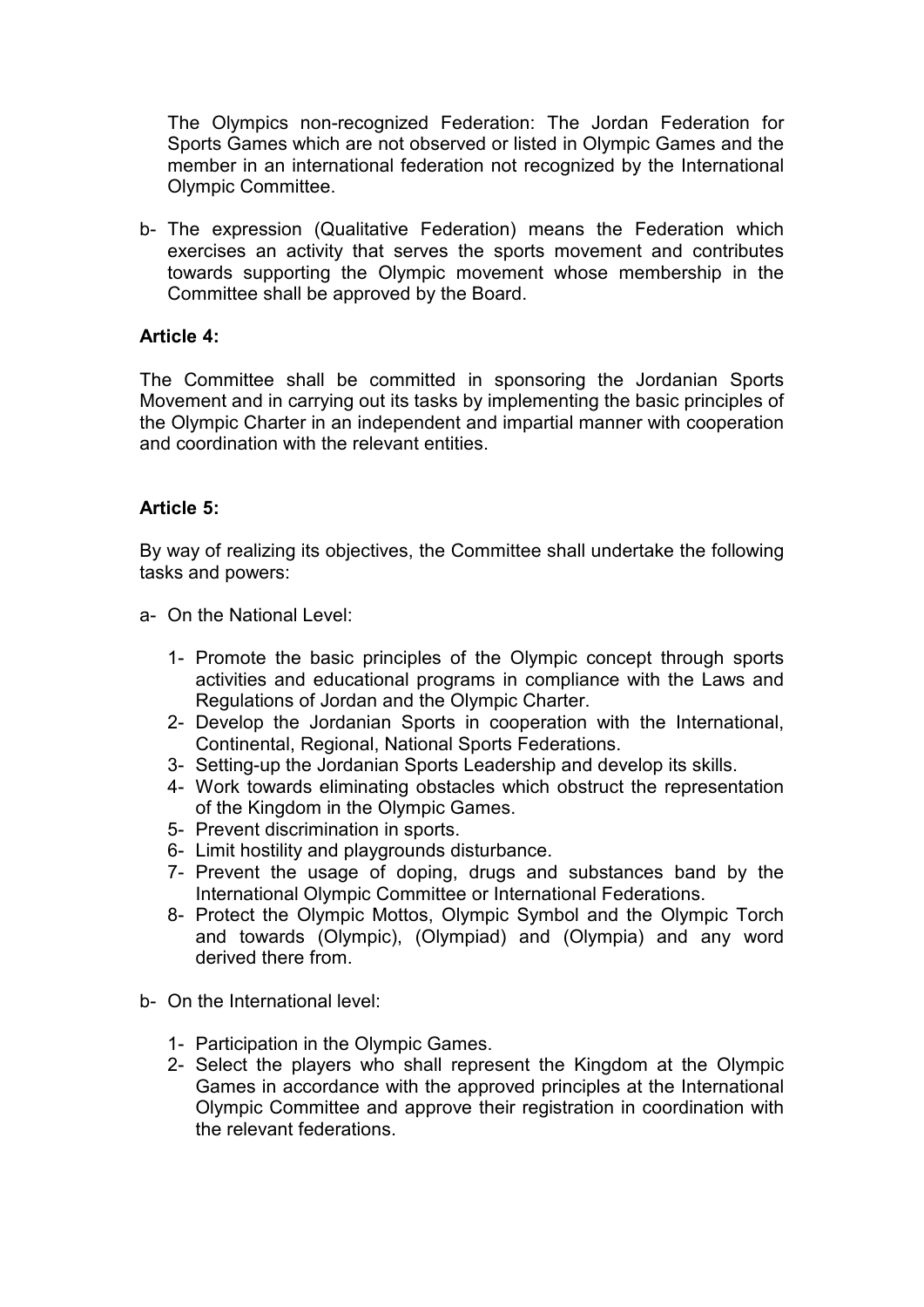The Olympics non-recognized Federation: The Jordan Federation for Sports Games which are not observed or listed in Olympic Games and the member in an international federation not recognized by the International Olympic Committee.

b- The expression (Qualitative Federation) means the Federation which exercises an activity that serves the sports movement and contributes towards supporting the Olympic movement whose membership in the Committee shall be approved by the Board.

### **Article 4:**

The Committee shall be committed in sponsoring the Jordanian Sports Movement and in carrying out its tasks by implementing the basic principles of the Olympic Charter in an independent and impartial manner with cooperation and coordination with the relevant entities.

#### **Article 5:**

By way of realizing its objectives, the Committee shall undertake the following tasks and powers:

- a- On the National Level:
	- 1- Promote the basic principles of the Olympic concept through sports activities and educational programs in compliance with the Laws and Regulations of Jordan and the Olympic Charter.
	- 2- Develop the Jordanian Sports in cooperation with the International, Continental, Regional, National Sports Federations.
	- 3- Setting-up the Jordanian Sports Leadership and develop its skills.
	- 4- Work towards eliminating obstacles which obstruct the representation of the Kingdom in the Olympic Games.
	- 5- Prevent discrimination in sports.
	- 6- Limit hostility and playgrounds disturbance.
	- 7- Prevent the usage of doping, drugs and substances band by the International Olympic Committee or International Federations.
	- 8- Protect the Olympic Mottos, Olympic Symbol and the Olympic Torch and towards (Olympic), (Olympiad) and (Olympia) and any word derived there from.
- b- On the International level:
	- 1- Participation in the Olympic Games.
	- 2- Select the players who shall represent the Kingdom at the Olympic Games in accordance with the approved principles at the International Olympic Committee and approve their registration in coordination with the relevant federations.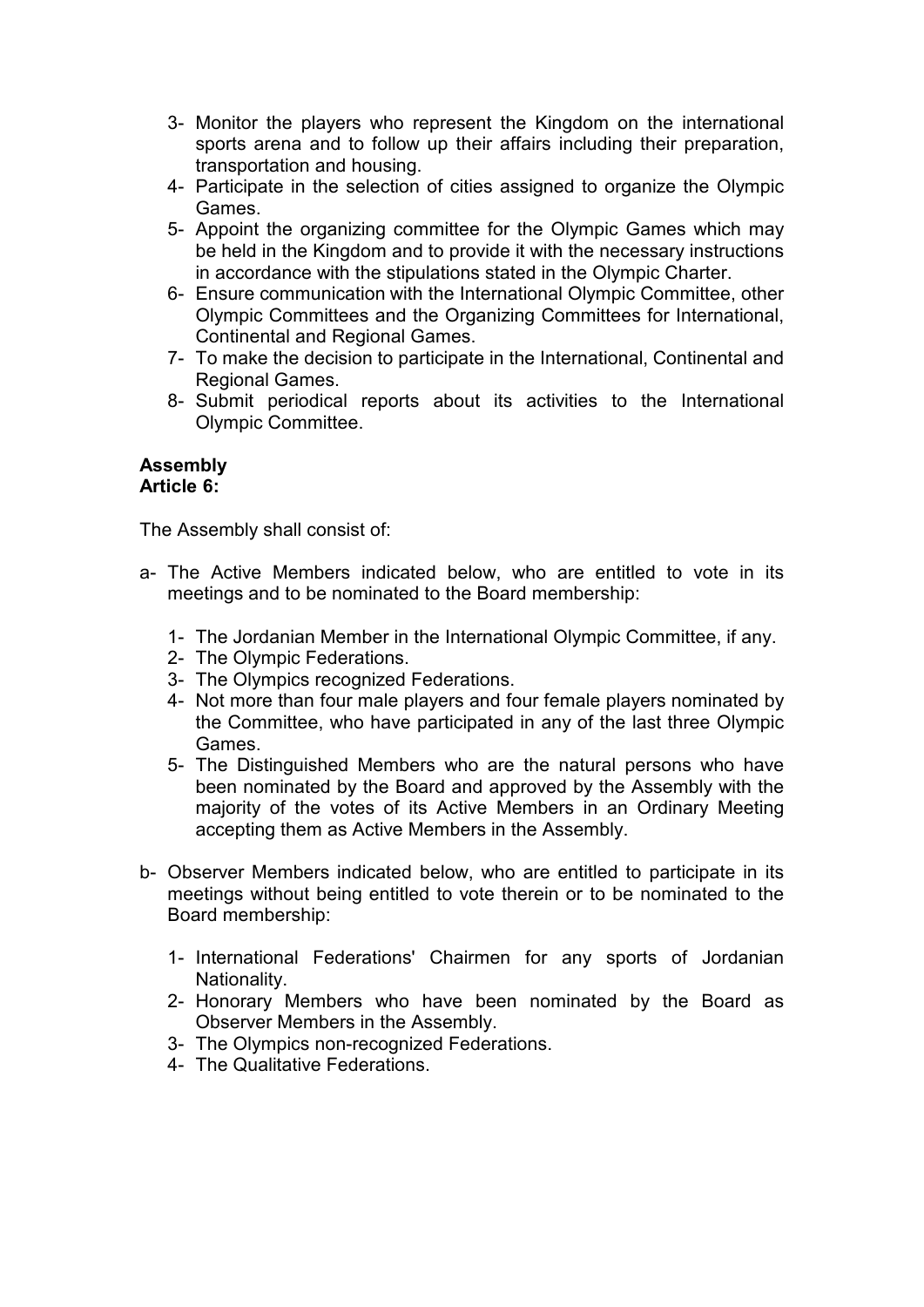- 3- Monitor the players who represent the Kingdom on the international sports arena and to follow up their affairs including their preparation, transportation and housing.
- 4- Participate in the selection of cities assigned to organize the Olympic Games.
- 5- Appoint the organizing committee for the Olympic Games which may be held in the Kingdom and to provide it with the necessary instructions in accordance with the stipulations stated in the Olympic Charter.
- 6- Ensure communication with the International Olympic Committee, other Olympic Committees and the Organizing Committees for International, Continental and Regional Games.
- 7- To make the decision to participate in the International, Continental and Regional Games.
- 8- Submit periodical reports about its activities to the International Olympic Committee.

#### **Assembly Article 6:**

The Assembly shall consist of:

- a- The Active Members indicated below, who are entitled to vote in its meetings and to be nominated to the Board membership:
	- 1- The Jordanian Member in the International Olympic Committee, if any.
	- 2- The Olympic Federations.
	- 3- The Olympics recognized Federations.
	- 4- Not more than four male players and four female players nominated by the Committee, who have participated in any of the last three Olympic Games.
	- 5- The Distinguished Members who are the natural persons who have been nominated by the Board and approved by the Assembly with the majority of the votes of its Active Members in an Ordinary Meeting accepting them as Active Members in the Assembly.
- b- Observer Members indicated below, who are entitled to participate in its meetings without being entitled to vote therein or to be nominated to the Board membership:
	- 1- International Federations' Chairmen for any sports of Jordanian Nationality.
	- 2- Honorary Members who have been nominated by the Board as Observer Members in the Assembly.
	- 3- The Olympics non-recognized Federations.
	- 4- The Qualitative Federations.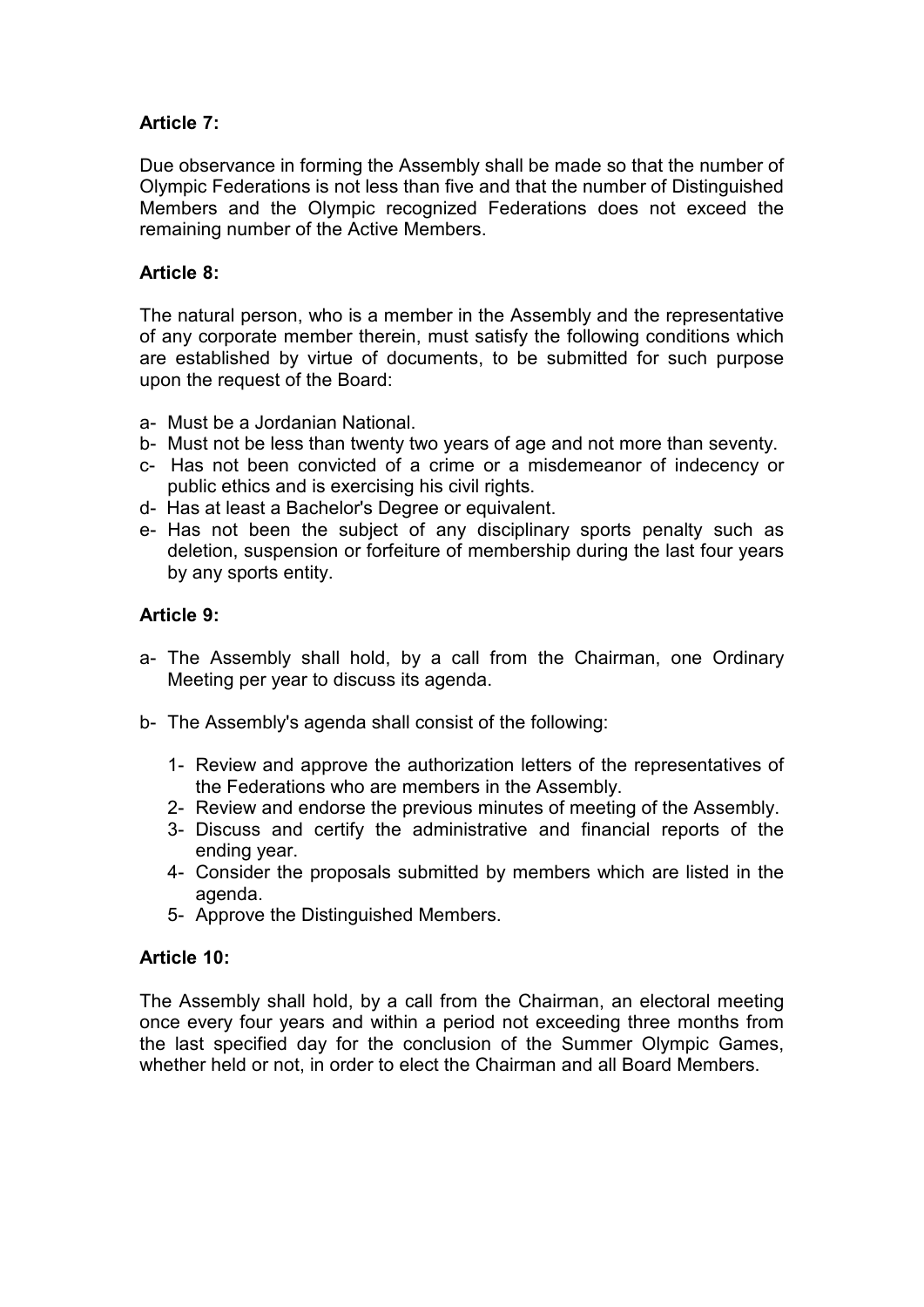# **Article 7:**

Due observance in forming the Assembly shall be made so that the number of Olympic Federations is not less than five and that the number of Distinguished Members and the Olympic recognized Federations does not exceed the remaining number of the Active Members.

# **Article 8:**

The natural person, who is a member in the Assembly and the representative of any corporate member therein, must satisfy the following conditions which are established by virtue of documents, to be submitted for such purpose upon the request of the Board:

- a- Must be a Jordanian National.
- b- Must not be less than twenty two years of age and not more than seventy.
- c- Has not been convicted of a crime or a misdemeanor of indecency or public ethics and is exercising his civil rights.
- d- Has at least a Bachelor's Degree or equivalent.
- e- Has not been the subject of any disciplinary sports penalty such as deletion, suspension or forfeiture of membership during the last four years by any sports entity.

# **Article 9:**

- a- The Assembly shall hold, by a call from the Chairman, one Ordinary Meeting per year to discuss its agenda.
- b- The Assembly's agenda shall consist of the following:
	- 1- Review and approve the authorization letters of the representatives of the Federations who are members in the Assembly.
	- 2- Review and endorse the previous minutes of meeting of the Assembly.
	- 3- Discuss and certify the administrative and financial reports of the ending year.
	- 4- Consider the proposals submitted by members which are listed in the agenda.
	- 5- Approve the Distinguished Members.

### **Article 10:**

The Assembly shall hold, by a call from the Chairman, an electoral meeting once every four years and within a period not exceeding three months from the last specified day for the conclusion of the Summer Olympic Games, whether held or not, in order to elect the Chairman and all Board Members.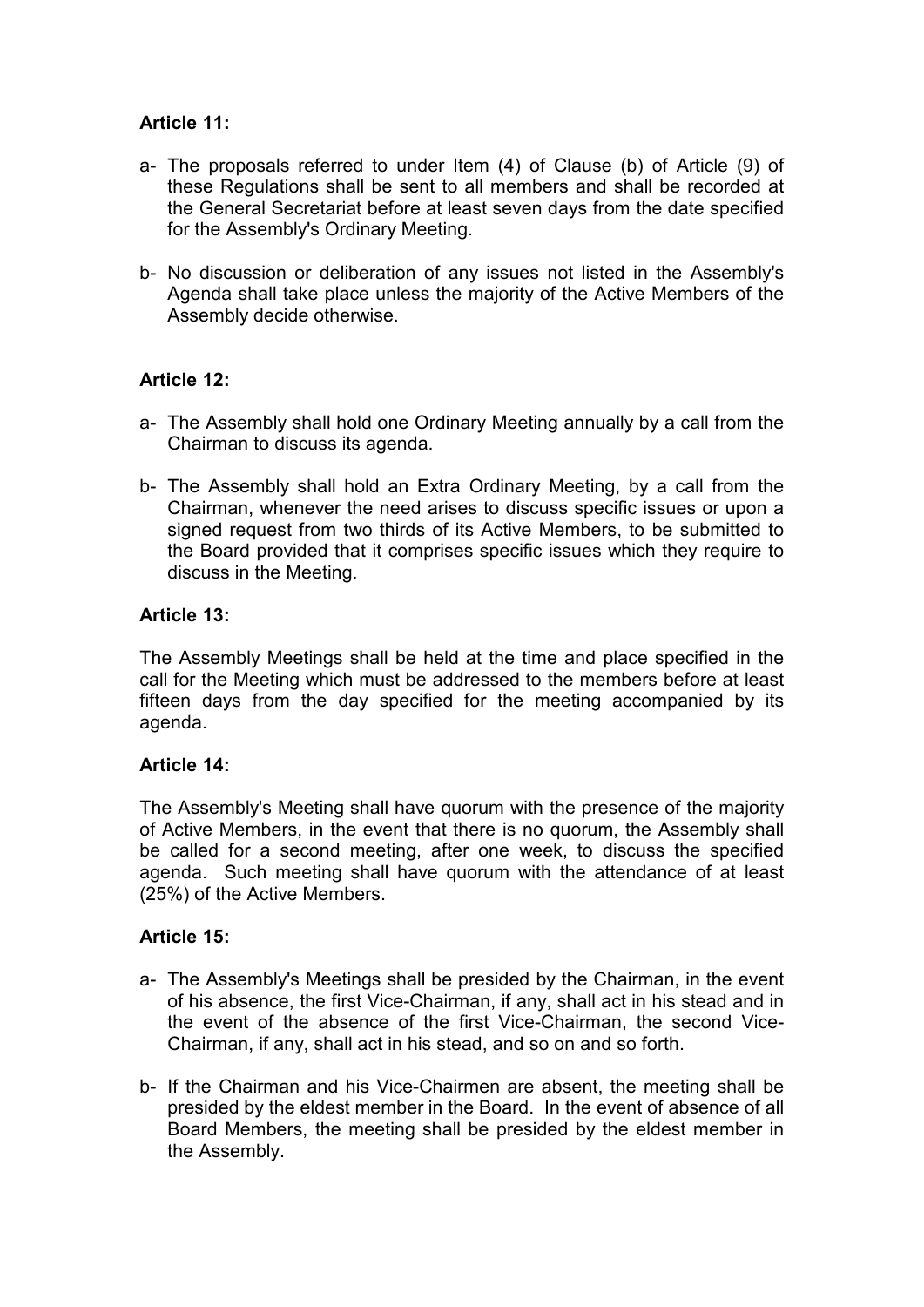# **Article 11:**

- a- The proposals referred to under Item (4) of Clause (b) of Article (9) of these Regulations shall be sent to all members and shall be recorded at the General Secretariat before at least seven days from the date specified for the Assembly's Ordinary Meeting.
- b- No discussion or deliberation of any issues not listed in the Assembly's Agenda shall take place unless the majority of the Active Members of the Assembly decide otherwise.

### **Article 12:**

- a- The Assembly shall hold one Ordinary Meeting annually by a call from the Chairman to discuss its agenda.
- b- The Assembly shall hold an Extra Ordinary Meeting, by a call from the Chairman, whenever the need arises to discuss specific issues or upon a signed request from two thirds of its Active Members, to be submitted to the Board provided that it comprises specific issues which they require to discuss in the Meeting.

### **Article 13:**

The Assembly Meetings shall be held at the time and place specified in the call for the Meeting which must be addressed to the members before at least fifteen days from the day specified for the meeting accompanied by its agenda.

### **Article 14:**

The Assembly's Meeting shall have quorum with the presence of the majority of Active Members, in the event that there is no quorum, the Assembly shall be called for a second meeting, after one week, to discuss the specified agenda. Such meeting shall have quorum with the attendance of at least (25%) of the Active Members.

### **Article 15:**

- a- The Assembly's Meetings shall be presided by the Chairman, in the event of his absence, the first Vice-Chairman, if any, shall act in his stead and in the event of the absence of the first Vice-Chairman, the second Vice-Chairman, if any, shall act in his stead, and so on and so forth.
- b- If the Chairman and his Vice-Chairmen are absent, the meeting shall be presided by the eldest member in the Board. In the event of absence of all Board Members, the meeting shall be presided by the eldest member in the Assembly.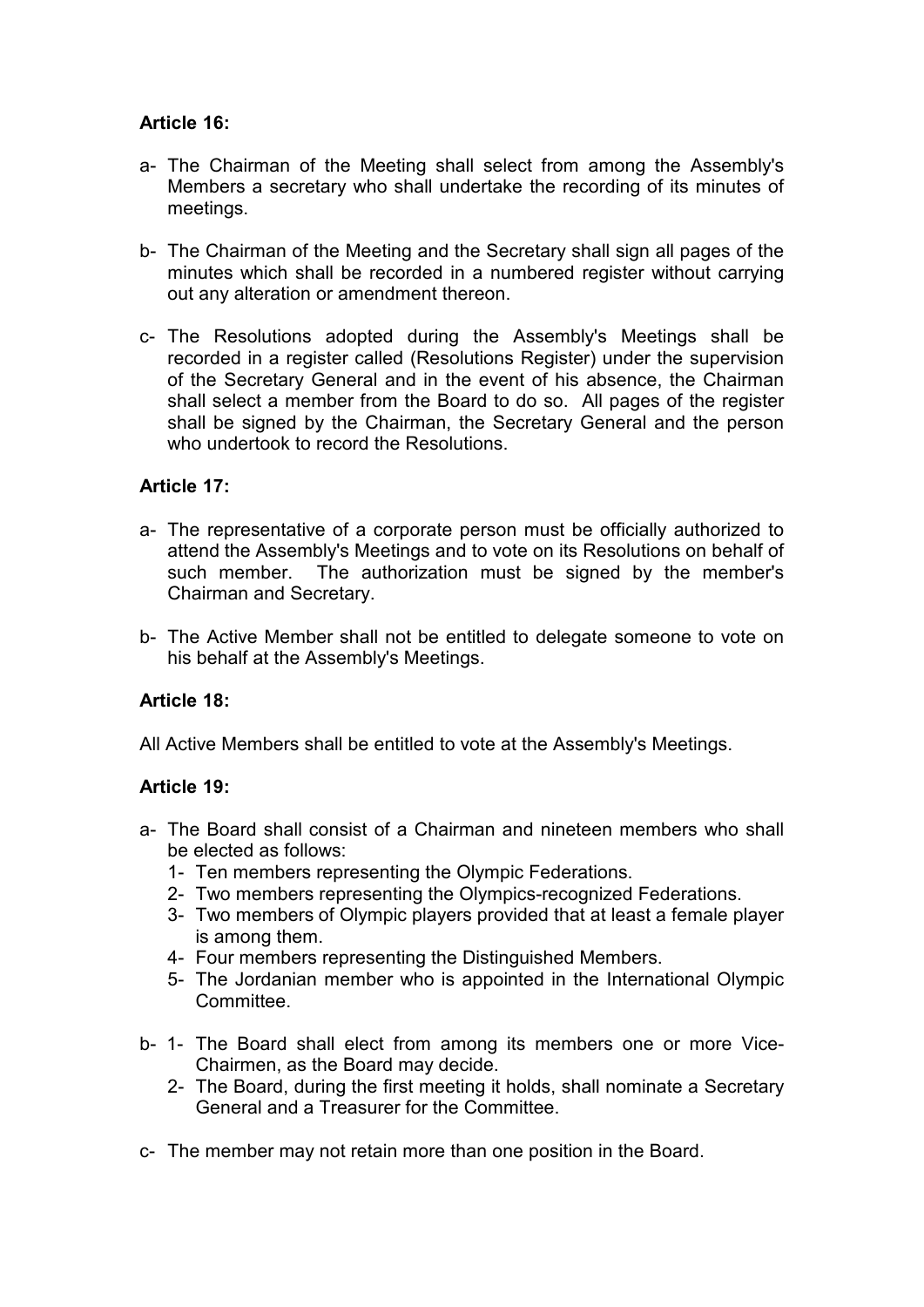# **Article 16:**

- a- The Chairman of the Meeting shall select from among the Assembly's Members a secretary who shall undertake the recording of its minutes of meetings.
- b- The Chairman of the Meeting and the Secretary shall sign all pages of the minutes which shall be recorded in a numbered register without carrying out any alteration or amendment thereon.
- c- The Resolutions adopted during the Assembly's Meetings shall be recorded in a register called (Resolutions Register) under the supervision of the Secretary General and in the event of his absence, the Chairman shall select a member from the Board to do so. All pages of the register shall be signed by the Chairman, the Secretary General and the person who undertook to record the Resolutions.

# **Article 17:**

- a- The representative of a corporate person must be officially authorized to attend the Assembly's Meetings and to vote on its Resolutions on behalf of such member. The authorization must be signed by the member's Chairman and Secretary.
- b- The Active Member shall not be entitled to delegate someone to vote on his behalf at the Assembly's Meetings.

### **Article 18:**

All Active Members shall be entitled to vote at the Assembly's Meetings.

### **Article 19:**

- a- The Board shall consist of a Chairman and nineteen members who shall be elected as follows:
	- 1- Ten members representing the Olympic Federations.
	- 2- Two members representing the Olympics-recognized Federations.
	- 3- Two members of Olympic players provided that at least a female player is among them.
	- 4- Four members representing the Distinguished Members.
	- 5- The Jordanian member who is appointed in the International Olympic **Committee.**
- b- 1- The Board shall elect from among its members one or more Vice-Chairmen, as the Board may decide.
	- 2- The Board, during the first meeting it holds, shall nominate a Secretary General and a Treasurer for the Committee.
- c- The member may not retain more than one position in the Board.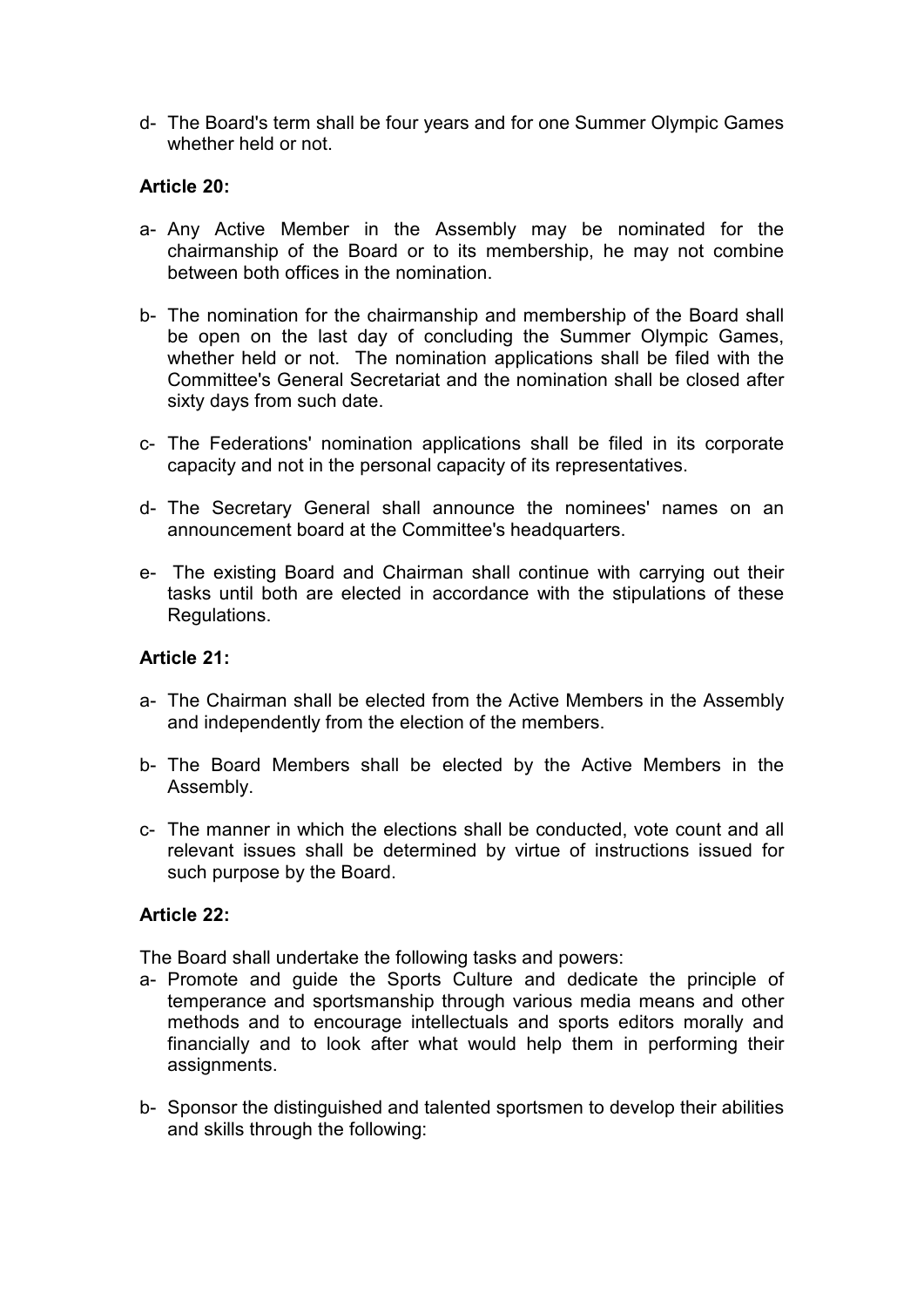d- The Board's term shall be four years and for one Summer Olympic Games whether held or not.

### **Article 20:**

- a- Any Active Member in the Assembly may be nominated for the chairmanship of the Board or to its membership, he may not combine between both offices in the nomination.
- b- The nomination for the chairmanship and membership of the Board shall be open on the last day of concluding the Summer Olympic Games, whether held or not. The nomination applications shall be filed with the Committee's General Secretariat and the nomination shall be closed after sixty days from such date.
- c- The Federations' nomination applications shall be filed in its corporate capacity and not in the personal capacity of its representatives.
- d- The Secretary General shall announce the nominees' names on an announcement board at the Committee's headquarters.
- e- The existing Board and Chairman shall continue with carrying out their tasks until both are elected in accordance with the stipulations of these Regulations.

### **Article 21:**

- a- The Chairman shall be elected from the Active Members in the Assembly and independently from the election of the members.
- b- The Board Members shall be elected by the Active Members in the Assembly.
- c- The manner in which the elections shall be conducted, vote count and all relevant issues shall be determined by virtue of instructions issued for such purpose by the Board.

### **Article 22:**

The Board shall undertake the following tasks and powers:

- a- Promote and guide the Sports Culture and dedicate the principle of temperance and sportsmanship through various media means and other methods and to encourage intellectuals and sports editors morally and financially and to look after what would help them in performing their assignments.
- b- Sponsor the distinguished and talented sportsmen to develop their abilities and skills through the following: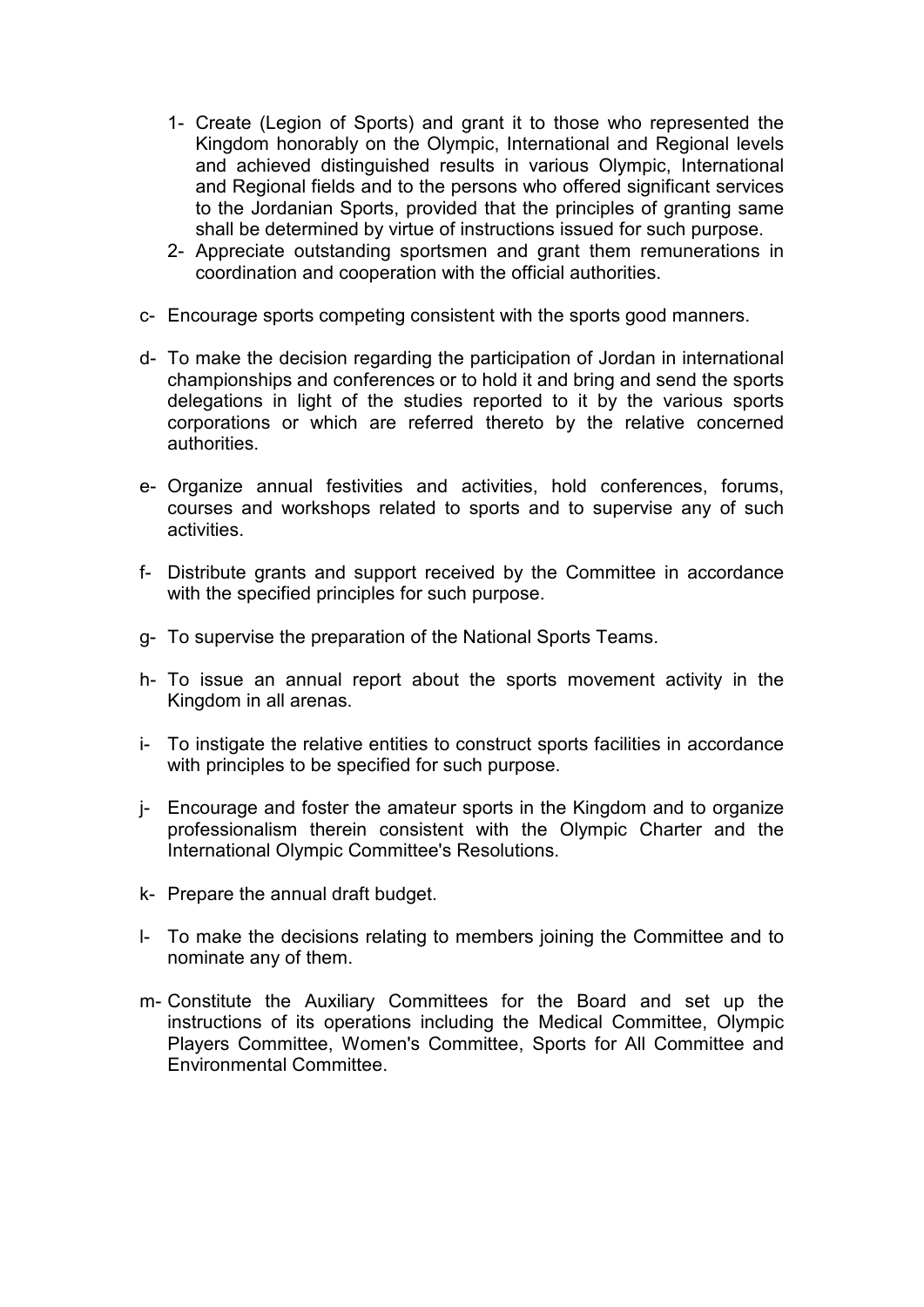- 1- Create (Legion of Sports) and grant it to those who represented the Kingdom honorably on the Olympic, International and Regional levels and achieved distinguished results in various Olympic, International and Regional fields and to the persons who offered significant services to the Jordanian Sports, provided that the principles of granting same shall be determined by virtue of instructions issued for such purpose.
- 2- Appreciate outstanding sportsmen and grant them remunerations in coordination and cooperation with the official authorities.
- c- Encourage sports competing consistent with the sports good manners.
- d- To make the decision regarding the participation of Jordan in international championships and conferences or to hold it and bring and send the sports delegations in light of the studies reported to it by the various sports corporations or which are referred thereto by the relative concerned authorities.
- e- Organize annual festivities and activities, hold conferences, forums, courses and workshops related to sports and to supervise any of such activities.
- f- Distribute grants and support received by the Committee in accordance with the specified principles for such purpose.
- g- To supervise the preparation of the National Sports Teams.
- h- To issue an annual report about the sports movement activity in the Kingdom in all arenas.
- i- To instigate the relative entities to construct sports facilities in accordance with principles to be specified for such purpose.
- j- Encourage and foster the amateur sports in the Kingdom and to organize professionalism therein consistent with the Olympic Charter and the International Olympic Committee's Resolutions.
- k- Prepare the annual draft budget.
- l- To make the decisions relating to members joining the Committee and to nominate any of them.
- m- Constitute the Auxiliary Committees for the Board and set up the instructions of its operations including the Medical Committee, Olympic Players Committee, Women's Committee, Sports for All Committee and Environmental Committee.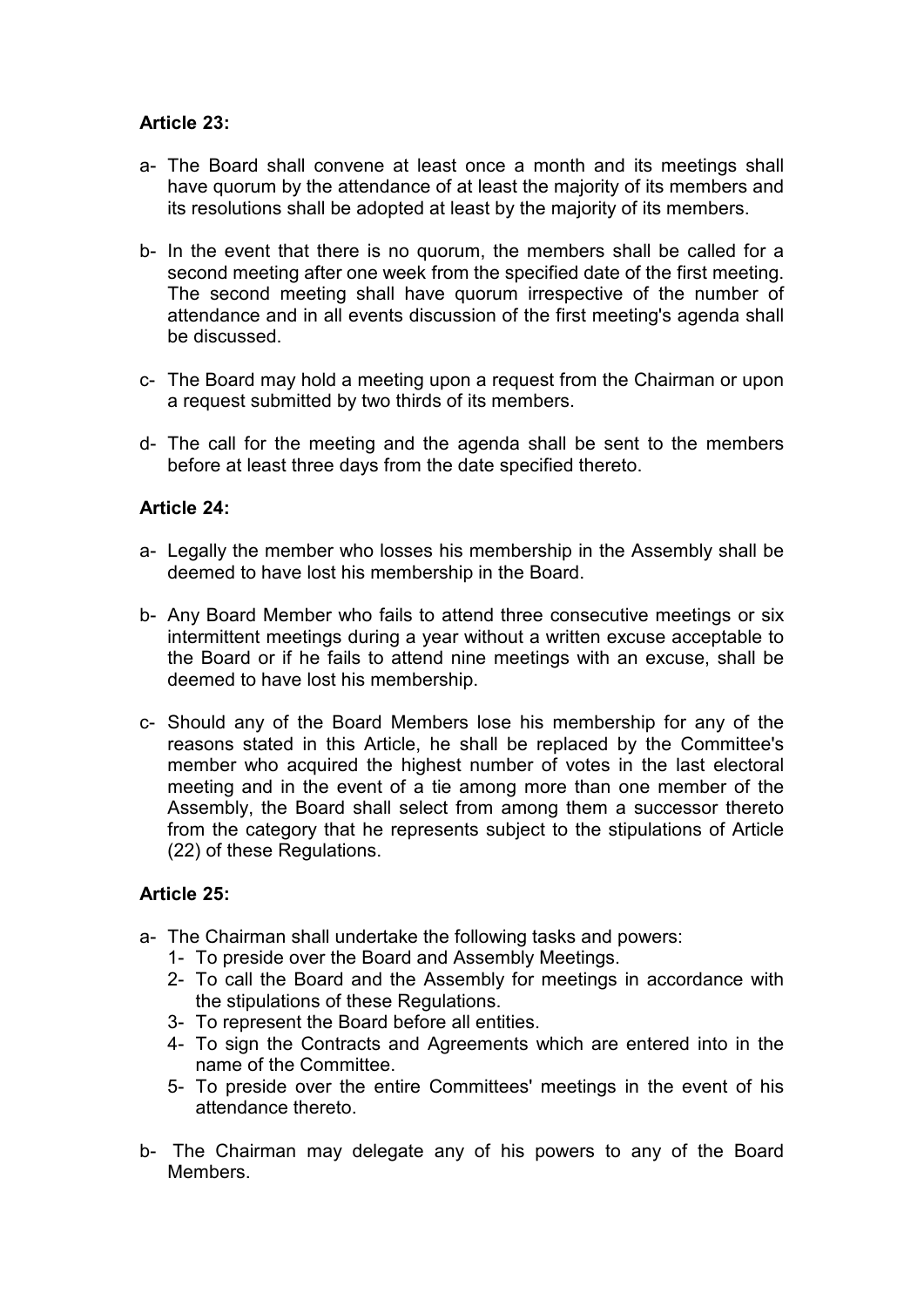# **Article 23:**

- a- The Board shall convene at least once a month and its meetings shall have quorum by the attendance of at least the majority of its members and its resolutions shall be adopted at least by the majority of its members.
- b- In the event that there is no quorum, the members shall be called for a second meeting after one week from the specified date of the first meeting. The second meeting shall have quorum irrespective of the number of attendance and in all events discussion of the first meeting's agenda shall be discussed.
- c- The Board may hold a meeting upon a request from the Chairman or upon a request submitted by two thirds of its members.
- d- The call for the meeting and the agenda shall be sent to the members before at least three days from the date specified thereto.

### **Article 24:**

- a- Legally the member who losses his membership in the Assembly shall be deemed to have lost his membership in the Board.
- b- Any Board Member who fails to attend three consecutive meetings or six intermittent meetings during a year without a written excuse acceptable to the Board or if he fails to attend nine meetings with an excuse, shall be deemed to have lost his membership.
- c- Should any of the Board Members lose his membership for any of the reasons stated in this Article, he shall be replaced by the Committee's member who acquired the highest number of votes in the last electoral meeting and in the event of a tie among more than one member of the Assembly, the Board shall select from among them a successor thereto from the category that he represents subject to the stipulations of Article (22) of these Regulations.

### **Article 25:**

- a- The Chairman shall undertake the following tasks and powers:
	- 1- To preside over the Board and Assembly Meetings.
	- 2- To call the Board and the Assembly for meetings in accordance with the stipulations of these Regulations.
	- 3- To represent the Board before all entities.
	- 4- To sign the Contracts and Agreements which are entered into in the name of the Committee.
	- 5- To preside over the entire Committees' meetings in the event of his attendance thereto.
- b- The Chairman may delegate any of his powers to any of the Board Members.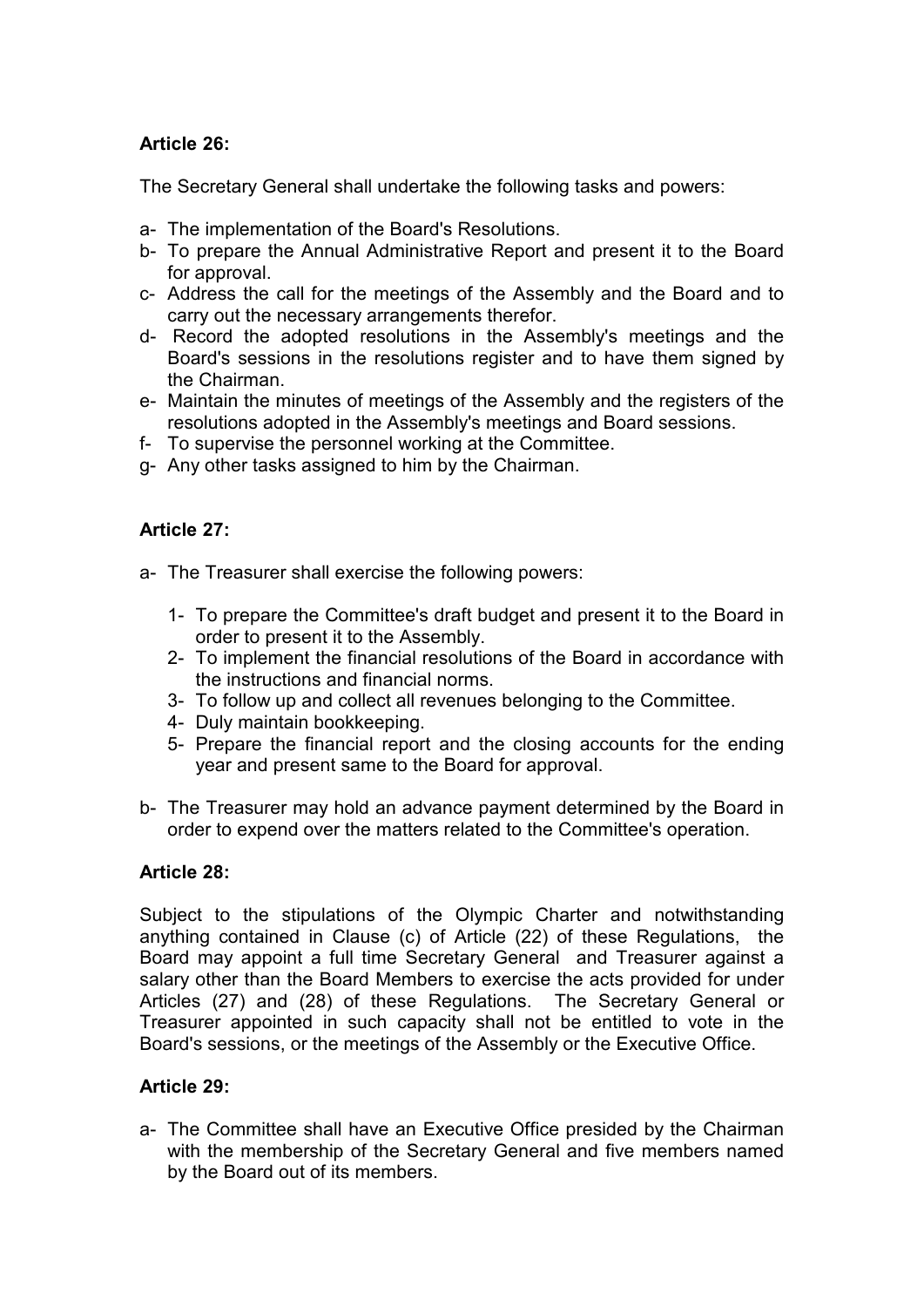### **Article 26:**

The Secretary General shall undertake the following tasks and powers:

- a- The implementation of the Board's Resolutions.
- b- To prepare the Annual Administrative Report and present it to the Board for approval.
- c- Address the call for the meetings of the Assembly and the Board and to carry out the necessary arrangements therefor.
- d- Record the adopted resolutions in the Assembly's meetings and the Board's sessions in the resolutions register and to have them signed by the Chairman.
- e- Maintain the minutes of meetings of the Assembly and the registers of the resolutions adopted in the Assembly's meetings and Board sessions.
- f- To supervise the personnel working at the Committee.
- g- Any other tasks assigned to him by the Chairman.

### **Article 27:**

- a- The Treasurer shall exercise the following powers:
	- 1- To prepare the Committee's draft budget and present it to the Board in order to present it to the Assembly.
	- 2- To implement the financial resolutions of the Board in accordance with the instructions and financial norms.
	- 3- To follow up and collect all revenues belonging to the Committee.
	- 4- Duly maintain bookkeeping.
	- 5- Prepare the financial report and the closing accounts for the ending year and present same to the Board for approval.
- b- The Treasurer may hold an advance payment determined by the Board in order to expend over the matters related to the Committee's operation.

### **Article 28:**

Subject to the stipulations of the Olympic Charter and notwithstanding anything contained in Clause (c) of Article (22) of these Regulations, the Board may appoint a full time Secretary General and Treasurer against a salary other than the Board Members to exercise the acts provided for under Articles (27) and (28) of these Regulations. The Secretary General or Treasurer appointed in such capacity shall not be entitled to vote in the Board's sessions, or the meetings of the Assembly or the Executive Office.

### **Article 29:**

a- The Committee shall have an Executive Office presided by the Chairman with the membership of the Secretary General and five members named by the Board out of its members.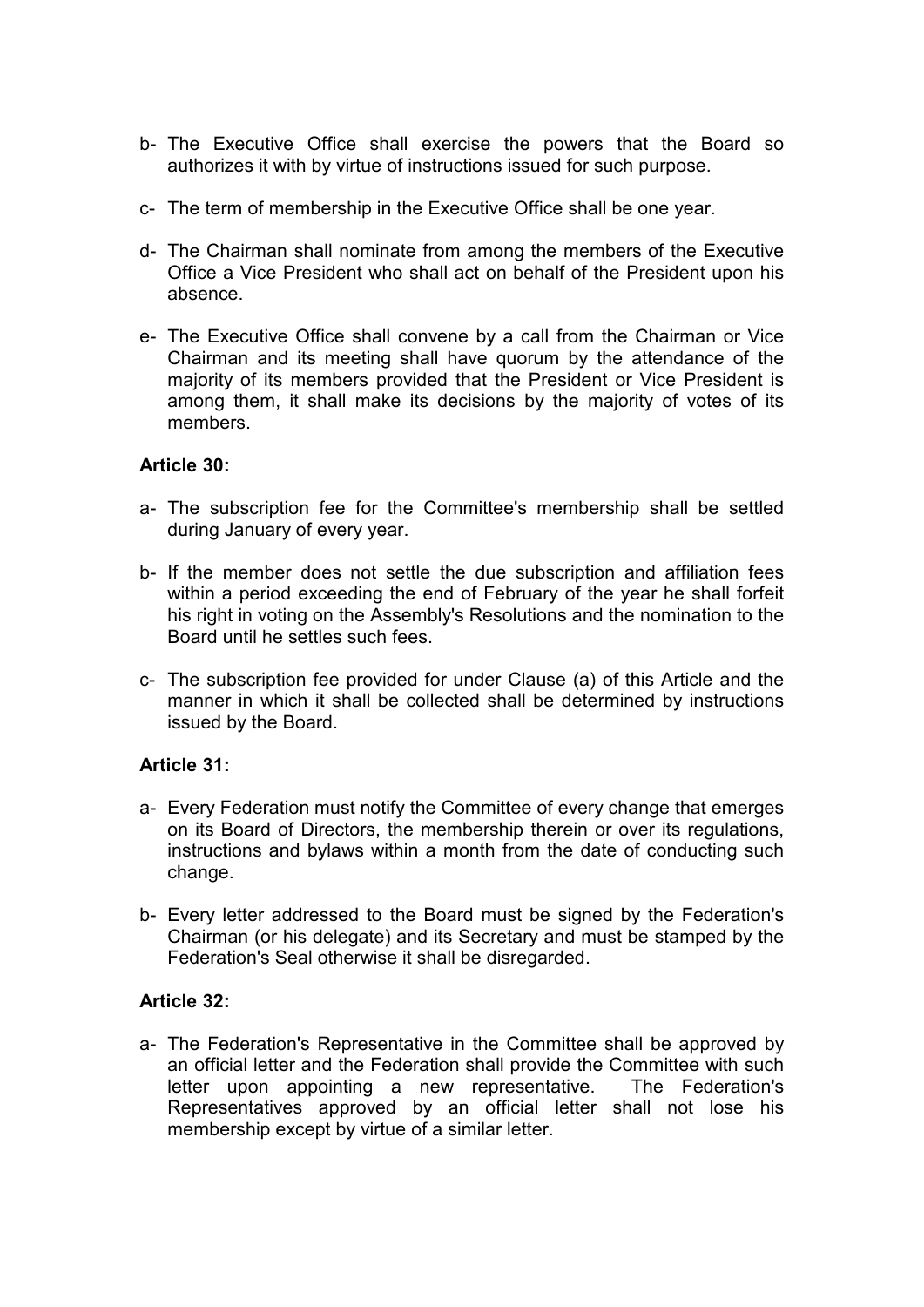- b- The Executive Office shall exercise the powers that the Board so authorizes it with by virtue of instructions issued for such purpose.
- c- The term of membership in the Executive Office shall be one year.
- d- The Chairman shall nominate from among the members of the Executive Office a Vice President who shall act on behalf of the President upon his absence.
- e- The Executive Office shall convene by a call from the Chairman or Vice Chairman and its meeting shall have quorum by the attendance of the majority of its members provided that the President or Vice President is among them, it shall make its decisions by the majority of votes of its members.

#### **Article 30:**

- a- The subscription fee for the Committee's membership shall be settled during January of every year.
- b- If the member does not settle the due subscription and affiliation fees within a period exceeding the end of February of the year he shall forfeit his right in voting on the Assembly's Resolutions and the nomination to the Board until he settles such fees.
- c- The subscription fee provided for under Clause (a) of this Article and the manner in which it shall be collected shall be determined by instructions issued by the Board.

### **Article 31:**

- a- Every Federation must notify the Committee of every change that emerges on its Board of Directors, the membership therein or over its regulations, instructions and bylaws within a month from the date of conducting such change.
- b- Every letter addressed to the Board must be signed by the Federation's Chairman (or his delegate) and its Secretary and must be stamped by the Federation's Seal otherwise it shall be disregarded.

### **Article 32:**

a- The Federation's Representative in the Committee shall be approved by an official letter and the Federation shall provide the Committee with such letter upon appointing a new representative. The Federation's Representatives approved by an official letter shall not lose his membership except by virtue of a similar letter.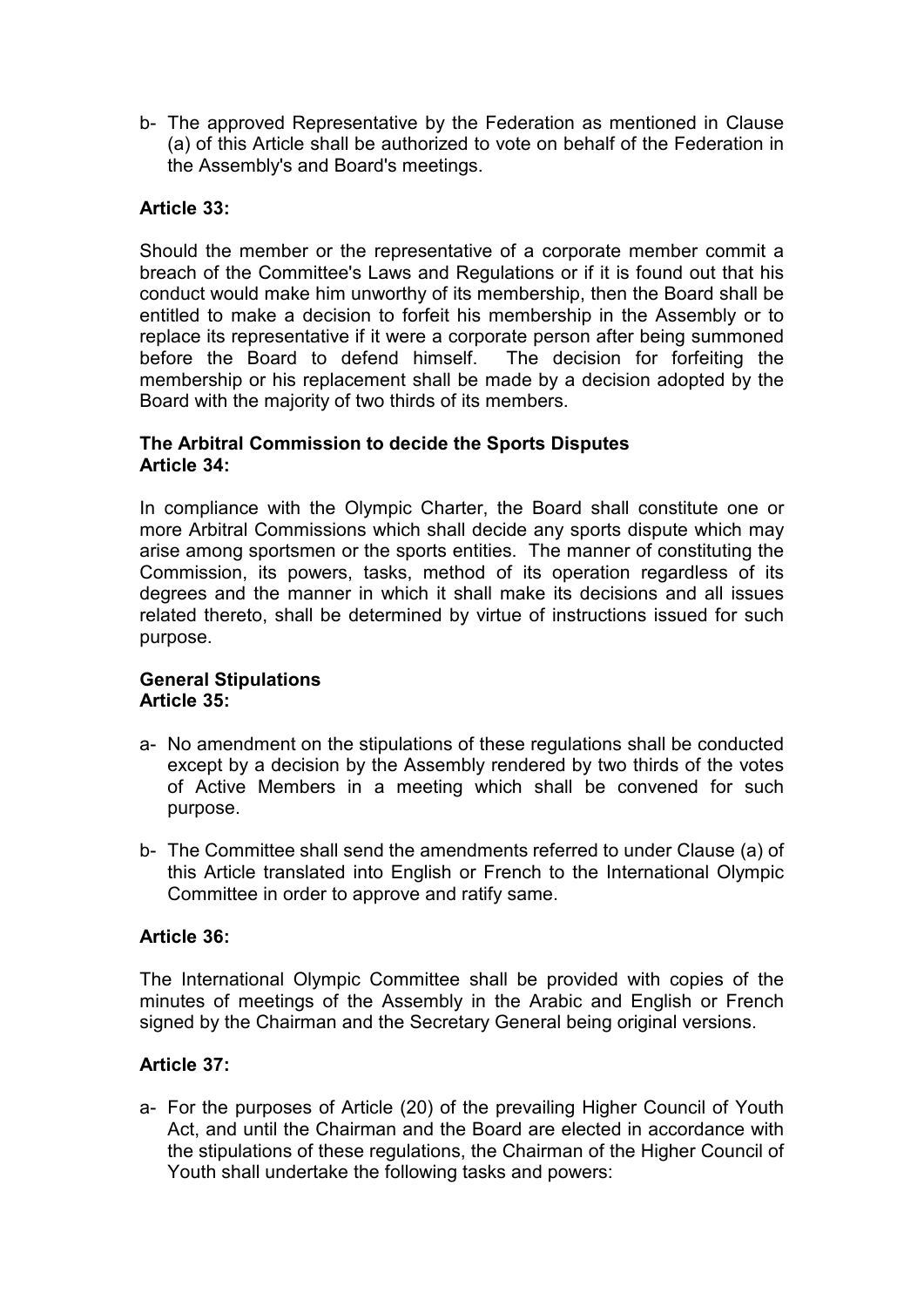b- The approved Representative by the Federation as mentioned in Clause (a) of this Article shall be authorized to vote on behalf of the Federation in the Assembly's and Board's meetings.

### **Article 33:**

Should the member or the representative of a corporate member commit a breach of the Committee's Laws and Regulations or if it is found out that his conduct would make him unworthy of its membership, then the Board shall be entitled to make a decision to forfeit his membership in the Assembly or to replace its representative if it were a corporate person after being summoned before the Board to defend himself. The decision for forfeiting the membership or his replacement shall be made by a decision adopted by the Board with the majority of two thirds of its members.

### **The Arbitral Commission to decide the Sports Disputes Article 34:**

In compliance with the Olympic Charter, the Board shall constitute one or more Arbitral Commissions which shall decide any sports dispute which may arise among sportsmen or the sports entities. The manner of constituting the Commission, its powers, tasks, method of its operation regardless of its degrees and the manner in which it shall make its decisions and all issues related thereto, shall be determined by virtue of instructions issued for such purpose.

### **General Stipulations Article 35:**

- a- No amendment on the stipulations of these regulations shall be conducted except by a decision by the Assembly rendered by two thirds of the votes of Active Members in a meeting which shall be convened for such purpose.
- b- The Committee shall send the amendments referred to under Clause (a) of this Article translated into English or French to the International Olympic Committee in order to approve and ratify same.

### **Article 36:**

The International Olympic Committee shall be provided with copies of the minutes of meetings of the Assembly in the Arabic and English or French signed by the Chairman and the Secretary General being original versions.

# **Article 37:**

a- For the purposes of Article (20) of the prevailing Higher Council of Youth Act, and until the Chairman and the Board are elected in accordance with the stipulations of these regulations, the Chairman of the Higher Council of Youth shall undertake the following tasks and powers: